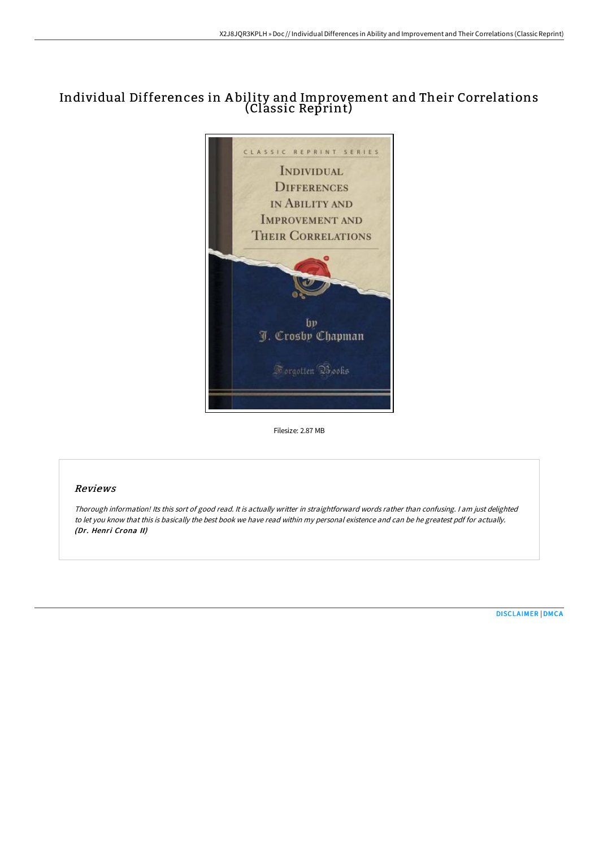# Individual Differences in A bility and Improvement and Their Correlations (Classic Reprint)



Filesize: 2.87 MB

## Reviews

Thorough information! Its this sort of good read. It is actually writter in straightforward words rather than confusing. <sup>I</sup> am just delighted to let you know that this is basically the best book we have read within my personal existence and can be he greatest pdf for actually. (Dr. Henri Crona II)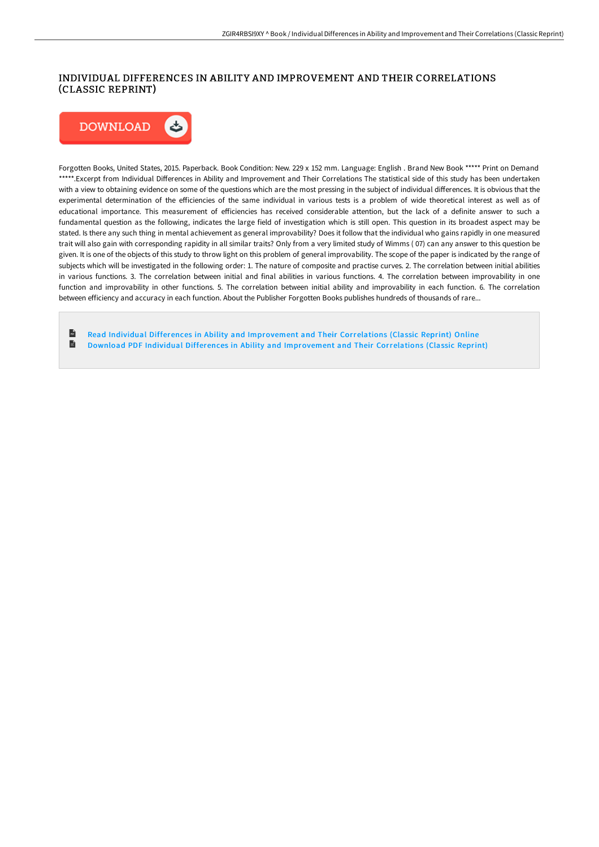### INDIVIDUAL DIFFERENCES IN ABILITY AND IMPROVEMENT AND THEIR CORRELATIONS (CLASSIC REPRINT)



Forgotten Books, United States, 2015. Paperback. Book Condition: New. 229 x 152 mm. Language: English . Brand New Book \*\*\*\*\* Print on Demand \*\*\*\*\*.Excerpt from Individual Differences in Ability and Improvement and Their Correlations The statistical side of this study has been undertaken with a view to obtaining evidence on some of the questions which are the most pressing in the subject of individual differences. It is obvious that the experimental determination of the eFiciencies of the same individual in various tests is a problem of wide theoretical interest as well as of educational importance. This measurement of eFiciencies has received considerable attention, but the lack of a definite answer to such a fundamental question as the following, indicates the large field of investigation which is still open. This question in its broadest aspect may be stated. Is there any such thing in mental achievement as general improvability? Does it follow that the individual who gains rapidly in one measured trait will also gain with corresponding rapidity in all similar traits? Only from a very limited study of Wimms ( 07) can any answer to this question be given. It is one of the objects of this study to throw light on this problem of general improvability. The scope of the paper is indicated by the range of subjects which will be investigated in the following order: 1. The nature of composite and practise curves. 2. The correlation between initial abilities in various functions. 3. The correlation between initial and final abilities in various functions. 4. The correlation between improvability in one function and improvability in other functions. 5. The correlation between initial ability and improvability in each function. 6. The correlation between efficiency and accuracy in each function. About the Publisher Forgotten Books publishes hundreds of thousands of rare...

 $\mathbf{r}$ Read Individual Differences in Ability and [Improvement](http://albedo.media/individual-differences-in-ability-and-improvemen.html) and Their Correlations (Classic Reprint) Online  $\blacksquare$ Download PDF Individual Differences in Ability and [Improvement](http://albedo.media/individual-differences-in-ability-and-improvemen.html) and Their Correlations (Classic Reprint)